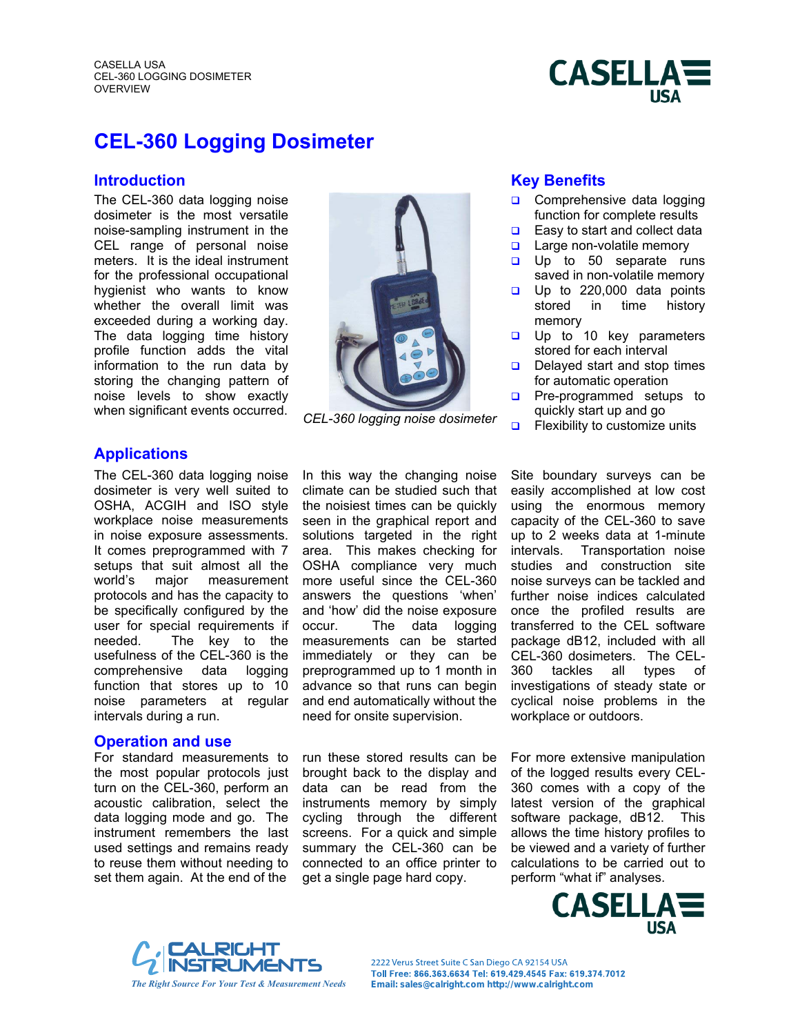CASELLA USA CEL-360 LOGGING DOSIMETER **OVERVIEW** 



# **CEL-360 Logging Dosimeter**

The CEL-360 data logging noise dosimeter is the most versatile noise-sampling instrument in the CEL range of personal noise meters. It is the ideal instrument for the professional occupational hygienist who wants to know whether the overall limit was exceeded during a working day. The data logging time history profile function adds the vital information to the run data by storing the changing pattern of noise levels to show exactly when significant events occurred. *CEL-360 logging noise dosimeter*



## **Introduction Contract Contract Contract Contract Contract Contract Contract Contract Contract Contract Contract Contract Contract Contract Contract Contract Contract Contract Contract Contract Contract Contract Contract C**

- Comprehensive data logging function for complete results
- $\Box$ Easy to start and collect data
- $\Box$ Large non-volatile memory
- $\Box$ Up to 50 separate runs saved in non-volatile memory
- $\Box$ Up to 220,000 data points stored in time history memory
- $\Box$ Up to 10 key parameters stored for each interval
- $\Box$ Delayed start and stop times for automatic operation
- $\Box$ Pre-programmed setups to quickly start up and go
- $\Box$ Flexibility to customize units

### **Applications**

The CEL-360 data logging noise dosimeter is very well suited to OSHA, ACGIH and ISO style workplace noise measurements in noise exposure assessments. It comes preprogrammed with 7 setups that suit almost all the world's major measurement protocols and has the capacity to be specifically configured by the user for special requirements if needed. The key to the usefulness of the CEL-360 is the comprehensive data logging function that stores up to 10 noise parameters at regular intervals during a run.

#### **Operation and use**

For standard measurements to the most popular protocols just turn on the CEL-360, perform an acoustic calibration, select the data logging mode and go. The instrument remembers the last used settings and remains ready to reuse them without needing to set them again. At the end of the

In this way the changing noise climate can be studied such that the noisiest times can be quickly seen in the graphical report and solutions targeted in the right area. This makes checking for OSHA compliance very much more useful since the CEL-360 answers the questions 'when' and 'how' did the noise exposure occur. The data logging measurements can be started immediately or they can be preprogrammed up to 1 month in advance so that runs can begin and end automatically without the need for onsite supervision.

run these stored results can be brought back to the display and data can be read from the instruments memory by simply cycling through the different screens. For a quick and simple summary the CEL-360 can be connected to an office printer to get a single page hard copy.

Site boundary surveys can be easily accomplished at low cost using the enormous memory capacity of the CEL-360 to save up to 2 weeks data at 1-minute intervals. Transportation noise studies and construction site noise surveys can be tackled and further noise indices calculated once the profiled results are transferred to the CEL software package dB12, included with all CEL-360 dosimeters. The CEL-360 tackles all types of investigations of steady state or cyclical noise problems in the workplace or outdoors.

For more extensive manipulation of the logged results every CEL-360 comes with a copy of the latest version of the graphical software package, dB12. This allows the time history profiles to be viewed and a variety of further calculations to be carried out to perform "what if" analyses.





2222 Verus Street Suite C San Diego CA 92154 USA Toll Free: 866.363.6634 Tel: 619.429.4545 Fax: 619.374.7012 *The Right Source For Your Test & Measurement Needs* **Email: sales@calright.com http://www.calright.com**